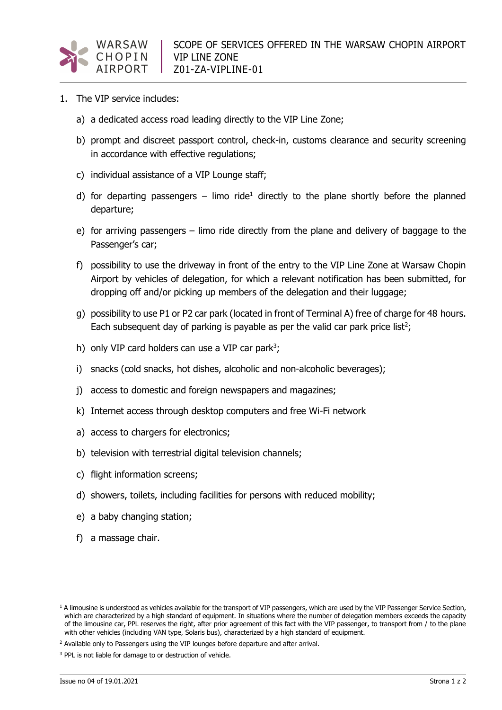

- 1. The VIP service includes:
	- a) a dedicated access road leading directly to the VIP Line Zone;
	- b) prompt and discreet passport control, check-in, customs clearance and security screening in accordance with effective regulations;
	- c) individual assistance of a VIP Lounge staff;
	- d) for departing passengers limo ride<sup>1</sup> directly to the plane shortly before the planned departure;
	- e) for arriving passengers limo ride directly from the plane and delivery of baggage to the Passenger's car;
	- f) possibility to use the driveway in front of the entry to the VIP Line Zone at Warsaw Chopin Airport by vehicles of delegation, for which a relevant notification has been submitted, for dropping off and/or picking up members of the delegation and their luggage;
	- g) possibility to use P1 or P2 car park (located in front of Terminal A) free of charge for 48 hours. Each subsequent day of parking is payable as per the valid car park price list<sup>2</sup>;
	- h) only VIP card holders can use a VIP car park<sup>3</sup>;
	- i) snacks (cold snacks, hot dishes, alcoholic and non-alcoholic beverages);
	- j) access to domestic and foreign newspapers and magazines;
	- k) Internet access through desktop computers and free Wi-Fi network
	- a) access to chargers for electronics;
	- b) television with terrestrial digital television channels;
	- c) flight information screens;
	- d) showers, toilets, including facilities for persons with reduced mobility;
	- e) a baby changing station;
	- f) a massage chair.

 $1$  A limousine is understood as vehicles available for the transport of VIP passengers, which are used by the VIP Passenger Service Section, which are characterized by a high standard of equipment. In situations where the number of delegation members exceeds the capacity of the limousine car, PPL reserves the right, after prior agreement of this fact with the VIP passenger, to transport from / to the plane with other vehicles (including VAN type, Solaris bus), characterized by a high standard of equipment.

<sup>&</sup>lt;sup>2</sup> Available only to Passengers using the VIP lounges before departure and after arrival.

<sup>&</sup>lt;sup>3</sup> PPL is not liable for damage to or destruction of vehicle.